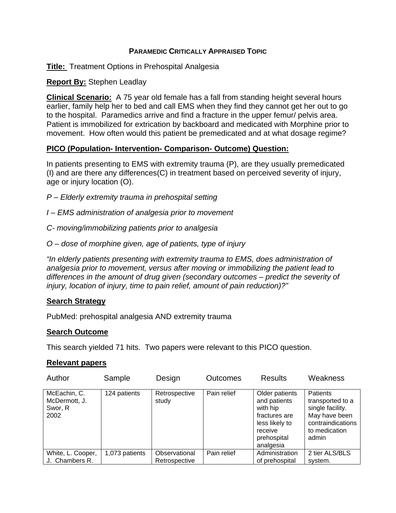## **PARAMEDIC CRITICALLY APPRAISED TOPIC**

**Title:** Treatment Options in Prehospital Analgesia

## **Report By:** Stephen Leadlay

**Clinical Scenario:** A 75 year old female has a fall from standing height several hours earlier, family help her to bed and call EMS when they find they cannot get her out to go to the hospital. Paramedics arrive and find a fracture in the upper femur/ pelvis area. Patient is immobilized for extrication by backboard and medicated with Morphine prior to movement. How often would this patient be premedicated and at what dosage regime?

## **PICO (Population- Intervention- Comparison- Outcome) Question:**

In patients presenting to EMS with extremity trauma (P), are they usually premedicated (I) and are there any differences(C) in treatment based on perceived severity of injury, age or injury location (O).

*P – Elderly extremity trauma in prehospital setting* 

*I – EMS administration of analgesia prior to movement* 

*C- moving/immobilizing patients prior to analgesia* 

*O – dose of morphine given, age of patients, type of injury* 

*"In elderly patients presenting with extremity trauma to EMS, does administration of analgesia prior to movement, versus after moving or immobilizing the patient lead to differences in the amount of drug given (secondary outcomes – predict the severity of injury, location of injury, time to pain relief, amount of pain reduction)?"* 

### **Search Strategy**

PubMed: prehospital analgesia AND extremity trauma

### **Search Outcome**

This search yielded 71 hits. Two papers were relevant to this PICO question.

#### **Relevant papers**

| Author                                           | Sample         | Design                         | <b>Outcomes</b> | <b>Results</b>                                                                                                       | Weakness                                                                                                                |
|--------------------------------------------------|----------------|--------------------------------|-----------------|----------------------------------------------------------------------------------------------------------------------|-------------------------------------------------------------------------------------------------------------------------|
| McEachin, C.<br>McDermott, J.<br>Swor, R<br>2002 | 124 patients   | Retrospective<br>study         | Pain relief     | Older patients<br>and patients<br>with hip<br>fractures are<br>less likely to<br>receive<br>prehospital<br>analgesia | <b>Patients</b><br>transported to a<br>single facility.<br>May have been<br>contraindications<br>to medication<br>admin |
| White, L. Cooper,<br>J. Chambers R.              | 1,073 patients | Observational<br>Retrospective | Pain relief     | Administration<br>of prehospital                                                                                     | 2 tier ALS/BLS<br>system.                                                                                               |